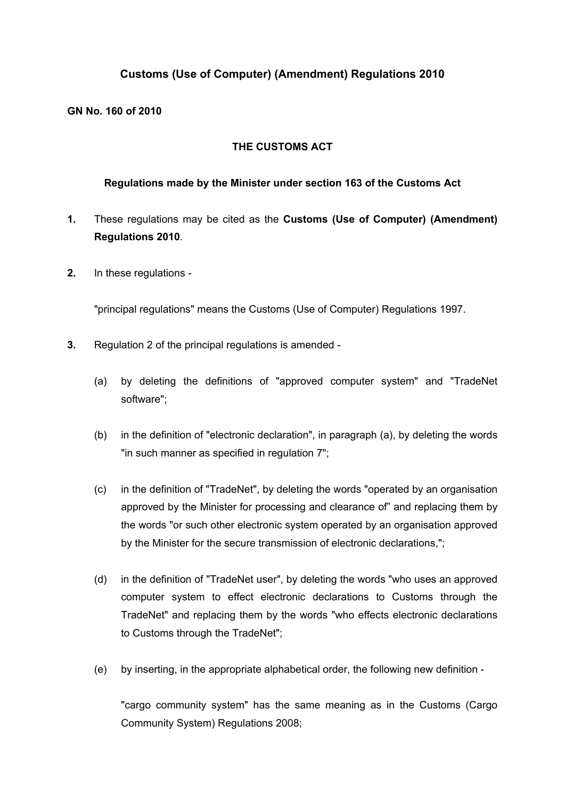## **Customs (Use of Computer) (Amendment) Regulations 2010**

**GN No. 160 of 2010**

## **THE CUSTOMS ACT**

## **Regulations made by the Minister under section 163 of the Customs Act**

- **1.** These regulations may be cited as the **Customs (Use of Computer) (Amendment) Regulations 2010**.
- **2.** In these regulations -

"principal regulations" means the Customs (Use of Computer) Regulations 1997.

- **3.** Regulation 2 of the principal regulations is amended
	- (a) by deleting the definitions of "approved computer system" and "TradeNet software";
	- (b) in the definition of "electronic declaration", in paragraph (a), by deleting the words "in such manner as specified in regulation 7";
	- (c) in the definition of "TradeNet", by deleting the words "operated by an organisation approved by the Minister for processing and clearance of" and replacing them by the words "or such other electronic system operated by an organisation approved by the Minister for the secure transmission of electronic declarations,";
	- (d) in the definition of "TradeNet user", by deleting the words "who uses an approved computer system to effect electronic declarations to Customs through the TradeNet" and replacing them by the words "who effects electronic declarations to Customs through the TradeNet";
	- (e) by inserting, in the appropriate alphabetical order, the following new definition -

"cargo community system" has the same meaning as in the Customs (Cargo Community System) Regulations 2008;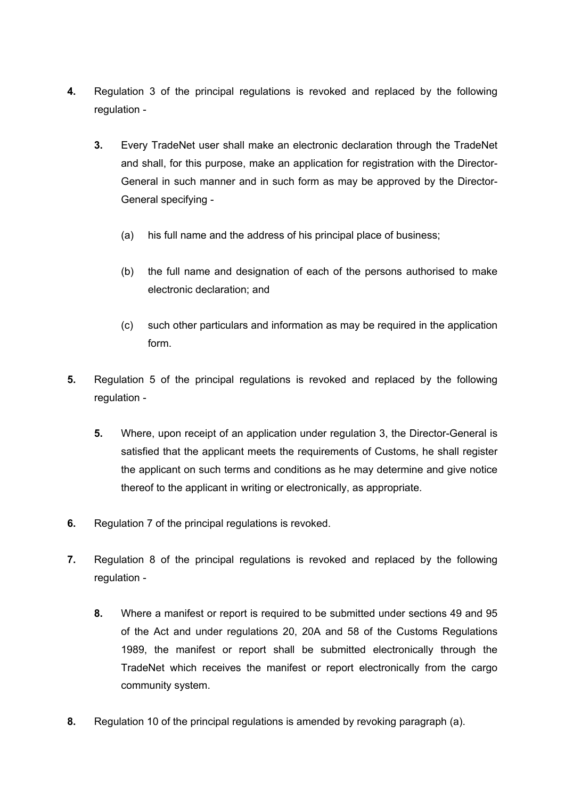- **4.** Regulation 3 of the principal regulations is revoked and replaced by the following regulation -
	- **3.** Every TradeNet user shall make an electronic declaration through the TradeNet and shall, for this purpose, make an application for registration with the Director-General in such manner and in such form as may be approved by the Director-General specifying -
		- (a) his full name and the address of his principal place of business;
		- (b) the full name and designation of each of the persons authorised to make electronic declaration; and
		- (c) such other particulars and information as may be required in the application form.
- **5.** Regulation 5 of the principal regulations is revoked and replaced by the following regulation -
	- **5.** Where, upon receipt of an application under regulation 3, the Director-General is satisfied that the applicant meets the requirements of Customs, he shall register the applicant on such terms and conditions as he may determine and give notice thereof to the applicant in writing or electronically, as appropriate.
- **6.** Regulation 7 of the principal regulations is revoked.
- **7.** Regulation 8 of the principal regulations is revoked and replaced by the following regulation -
	- **8.** Where a manifest or report is required to be submitted under sections 49 and 95 of the Act and under regulations 20, 20A and 58 of the Customs Regulations 1989, the manifest or report shall be submitted electronically through the TradeNet which receives the manifest or report electronically from the cargo community system.
- **8.** Regulation 10 of the principal regulations is amended by revoking paragraph (a).